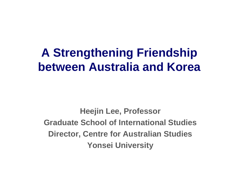# **A Strengthening Friendship between Australia and Korea**

**Heejin Lee, Professor Graduate School of International Studies Director, Centre for Australian Studies Yonsei University**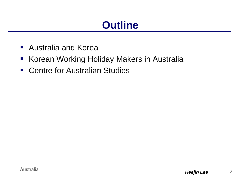## **Outline**

- Australia and Korea
- **Korean Working Holiday Makers in Australia**
- Centre for Australian Studies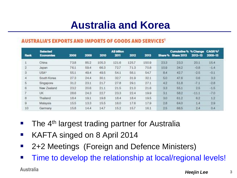## **Australia and Korea**

#### **AUSTRALIA'S EXPORTS AND IMPORTS OF GOODS AND SERVICES'**

| <b>Rank</b> | <b>Solocted</b><br><b>Economies</b> | 2008 | 2009 | 2010  | AS billion<br>2011 | 2012  | 2013  | Share <sup>q</sup> u | Cumulative % % Change<br><b>Share 2013</b> | 2012-13 | <b>CAGR%</b><br>2008-13 |
|-------------|-------------------------------------|------|------|-------|--------------------|-------|-------|----------------------|--------------------------------------------|---------|-------------------------|
|             | China                               | 73.8 | 85.2 | 105.3 | 121.6              | 125.7 | 150.9 | 23.3                 | 23.3                                       | 20.1    | 15.4                    |
|             | Japan                               | 76.1 | 59.4 | 66.3  | 72.7               | 713   | 70.8  | 10.9                 | 342                                        | $-0.8$  | $-1.4$                  |
| 3           | USA <sup>®</sup>                    | 55.1 | 49.4 | 49.5  | 54.1               | 56.1  | 54.7  | 8.4                  | 427                                        | $-2.5$  | $-0.1$                  |
| a,          | South Korea                         | 27.3 | 24.4 | 30.1  | 327                | 31.9  | 32.1  | 5.0                  | 47.6                                       | 0.6     | 3.3 <sup>°</sup>        |
| 5           | Singapore                           | 31.2 | 23.1 | 21.7  | 27.8               | 29.1  | 27.1  | 4.2                  | 51.8                                       | $-7.1$  | $-2.8$                  |
| 6           | Now Zealand                         | 23.2 | 20.6 | 21.1  | 21.5               | 21.0  | 21.6  | 33                   | 55.1                                       | 2.5     | $-1.5$                  |
|             | <b>UK</b>                           | 28.6 | 24.3 | 227   | 23.3               | 22.4  | 19.9  | 3.1                  | 582                                        | $-11.1$ | $-7.0$                  |
| 8           | Thailand                            | 18.4 | 19.1 | 19.8  | 18.4               | 18.4  | 19.5  | 3.0                  | 612                                        | 6.2     | 1.2                     |
| o           | Malaysia                            | 15.5 | 13.3 | 15.5  | 16.0               | 17.6  | 17.9  | 28                   | 64.0                                       | 1.4     | 2.9                     |
| 10          | Germany                             | 15.8 | 14.4 | 147   | 152                | 16.7  | 16.1  | 25                   | 66.5                                       | 2.4     | 0.4                     |

- **The 4<sup>th</sup> largest trading partner for Australia**
- KAFTA singed on 8 April 2014
- 2+2 Meetings (Foreign and Defence Ministers)
- **Time to develop the relationship at local/regional levels!**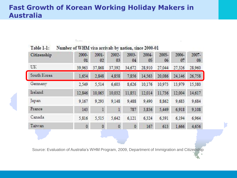#### **Fast Growth of Korean Working Holiday Makers in Australia**

Number of WHM visa arrivals by nation, since 2000-01

Table 1-1:

| Citizenship | 2000-<br>01 | $2001 -$<br>02 | 2002-<br>03  | 2003-<br>04  | $2004 -$<br>05 | 2005-<br>06 | $2006 -$<br>07 | 2007-<br>08 |
|-------------|-------------|----------------|--------------|--------------|----------------|-------------|----------------|-------------|
| UK          | 39,963      | 37,868         | 37,392       | 34,672       | 28,910         | 27,044      | 27,326         | 28,960      |
| South Korea | 1,654       | 2.848          | 4,858        | 7,856        | 14,563         | 20,086      | 24,146         | 26,758      |
| Germany     | 2,549       | 5,514          | 6,603        | 8.626        | 10,176         | 10.973      | 13,979         | 15.380      |
| Ireland     | 12,846      | 10.065         | 10.032       | 11.851       | 12.014         | 11.736      | 12,004         | 14,617      |
| Japan       | 9,167       | 9.293          | 9,148        | 9,488        | 9,490          | 8.862       | 9,683          | 9,684       |
| France      | 143         | 1              | $\mathbf{I}$ | 787          | 3,836          | 5,449       | 6,918          | 9,108       |
| Canada      | 5,816       | 5.515          | 5,642        | 6,121        | 6,324          | 6.391       | 6,194          | 6.964       |
| Taiwan      | $\pmb{0}$   | $\mathbf{0}$   | $\circ$      | $\mathbf{0}$ | 167            | 613         | 1.666          | 4,656       |

Source: Evaluation of Australia's WHM Program, 2009, Department of Immigration and Citizenship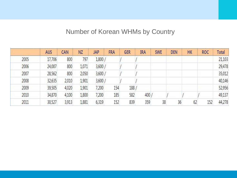#### Number of Korean WHMs by Country

|      | <b>AUS</b> | CAN   | <b>NZ</b> | <b>JAP</b> | <b>FRA</b> | <b>GER</b> | <b>IRA</b> | <b>SWE</b> | <b>DEN</b> | HK | <b>ROC</b> | Total  |
|------|------------|-------|-----------|------------|------------|------------|------------|------------|------------|----|------------|--------|
| 2005 | 17,706     | 800   | 797       | 1,800/     |            |            |            |            |            |    |            | 21,103 |
| 2006 | 24,007     | 800   | 1,071     | 3,600/     |            |            |            |            |            |    |            | 29,478 |
| 2007 | 28,562     | 800   | 2,050     | 3,600/     |            |            |            |            |            |    |            | 35,012 |
| 2008 | 32,635     | 2,010 | 1,901     | 3,600/     |            |            |            |            |            |    |            | 40,146 |
| 2009 | 39,505     | 4,020 | 1,901     | 7,200      | 154        | 188        |            |            |            |    |            | 52,956 |
| 2010 | 34,870     | 4,100 | 1,800     | 7,200      | 185        | 582        | 400        |            |            |    |            | 49,137 |
| 2011 | 30,527     | 3,913 | 1,881     | 6,319      | 152        | 839        | 359        | 38         | 36         | 62 | 152        | 44,278 |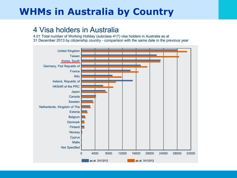## **WHMs in Australia by Country**

#### 4 Visa holders in Australia

4.01 Total number of Working Holiday (subclass 417) visa holders in Australia as at 31 December 2013 by citizenship country - comparison with the same date in the previous year

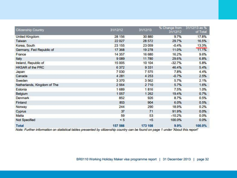| Citizenship Country                                                                                                                     | 31/12/12 | 31/12/13 | % Change from<br>31/12/12 | 31/12/13 as %<br>of Total |
|-----------------------------------------------------------------------------------------------------------------------------------------|----------|----------|---------------------------|---------------------------|
| United Kingdom                                                                                                                          | 28 15 6  | 30 880   | 9.7%                      | 17.8%                     |
| Taiwan                                                                                                                                  | 22 0 27  | 28 572   | 29.7%                     | 16.5%                     |
| Korea, South                                                                                                                            | 23 155   | 23 059   | $-0.4%$                   | 13.3%                     |
| Germany, Fed Republic of                                                                                                                | 17 368   | 19 278   | 11.0%                     | 11.1%                     |
| France                                                                                                                                  | 14 357   | 16 680   | 16.2%                     | 9.6%                      |
| Italy                                                                                                                                   | 9089     | 11780    | 29.6%                     | 6.8%                      |
| Ireland, Republic of                                                                                                                    | 15 005   | 10 104   | $-32.7%$                  | 5.8%                      |
| <b>HKSAR of the PRC</b>                                                                                                                 | 6372     | 9 3 3 1  | 46.4%                     | 5.4%                      |
| Japan                                                                                                                                   | 7 0 3 0  | 7575     | 7.8%                      | 4.4%                      |
| Canada                                                                                                                                  | 4 2 8 1  | 4 2 5 3  | $-0.7%$                   | 2.5%                      |
| Sweden                                                                                                                                  | 3 3 7 0  | 3 5 6 2  | 5.7%                      | 2.1%                      |
| Netherlands, Kingdom of The                                                                                                             | 2 5 6 4  | 2710     | 5.7%                      | 1.6%                      |
| Estonia                                                                                                                                 | 1689     | 1816     | 7.5%                      | 1.0%                      |
| Belgium                                                                                                                                 | 1057     | 1 2 6 2  | 19.4%                     | 0.7%                      |
| Denmark                                                                                                                                 | 852      | 926      | 8.7%                      | 0.5%                      |
| Finland                                                                                                                                 | 853      | 904      | 6.0%                      | 0.5%                      |
| Norway                                                                                                                                  | 244      | 290      | 18.9%                     | 0.2%                      |
| Cyprus                                                                                                                                  | 37       | 71       | 91.9%                     | 0.0%                      |
| Malta                                                                                                                                   | 59       | 53       | $-10.2%$                  | 0.0%                      |
| Not Specified                                                                                                                           | $\leq 5$ | < 5      | 100.0%                    | 0.0%                      |
| <b>Total</b>                                                                                                                            | 157 566  | 173 108  | 9.9%                      | 100.0%                    |
| <b><i><u>A ROCK COMPANY AND A ROCK COMPANY AND A ROCK COMPANY AND A ROCK COMPANY AND A ROCK COMPANY AND A ROCK COMPANY AS A</u></i></b> |          |          |                           |                           |

Note: Further information on statistical tables presented by citizenship country can be found on page 1 under 'About this report'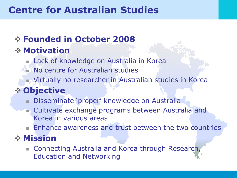## **Centre for Australian Studies**

### **Founded in October 2008**

### **Motivation**

- Lack of knowledge on Australia in Korea
- **No centre for Australian studies** 
	- Virtually no researcher in Australian studies in Korea

### **Objective**

- Disseminate 'proper' knowledge on Australia
- **n** Cultivate exchange programs between Australia and Korea in various areas
- **Enhance awareness and trust between the two countries**

### **Mission**

**Connecting Australia and Korea through Research,** Education and Networking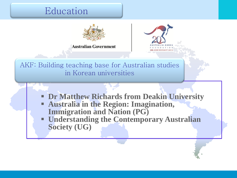#### Education

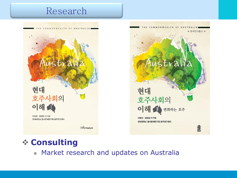#### Research





#### **Consulting**

**Market research and updates on Australia**